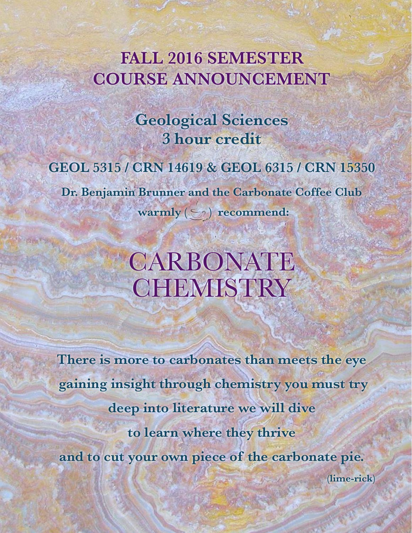## **FALL 2016 SEMESTER COURSE ANNOUNCEMENT**

**Geological Sciences 3 hour credit** 

### **GEOL 5315 / CRN 14619 & GEOL 6315 / CRN 15350**

**Dr. Benjamin Brunner and the Carbonate Coffee Club**

warmly  $(\bigcirc)$  recommend:

# **CARBONATE CHEMISTRY**

**There is more to carbonates than meets the eye gaining insight through chemistry you must try deep into literature we will dive to learn where they thrive and to cut your own piece of the carbonate pie.** 

**(lime-rick)**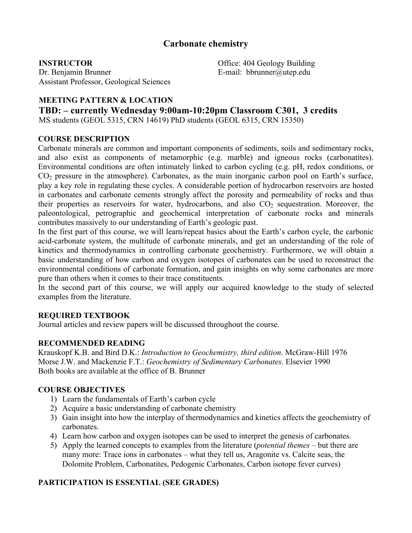#### **Carbonate chemistry**

#### **INSTRUCTOR**

Dr. Benjamin Brunner Assistant Professor, Geological Sciences

Office: 404 Geology Building E-mail: bbrunner@utep.edu

#### **MEETING PATTERN & LOCATION**

#### **TBD: – currently Wednesday 9:00am-10:20pm Classroom C301, 3 credits**

MS students (GEOL 5315, CRN 14619) PhD students (GEOL 6315, CRN 15350)

#### **COURSE DESCRIPTION**

Carbonate minerals are common and important components of sediments, soils and sedimentary rocks, and also exist as components of metamorphic (e.g. marble) and igneous rocks (carbonatites). Environmental conditions are often intimately linked to carbon cycling (e.g. pH, redox conditions, or CO2 pressure in the atmosphere). Carbonates, as the main inorganic carbon pool on Earth's surface, play a key role in regulating these cycles. A considerable portion of hydrocarbon reservoirs are hosted in carbonates and carbonate cements strongly affect the porosity and permeability of rocks and thus their properties as reservoirs for water, hydrocarbons, and also  $CO<sub>2</sub>$  sequestration. Moreover, the paleontological, petrographic and geochemical interpretation of carbonate rocks and minerals contributes massively to our understanding of Earth's geologic past.

In the first part of this course, we will learn/repeat basics about the Earth's carbon cycle, the carbonic acid-carbonate system, the multitude of carbonate minerals, and get an understanding of the role of kinetics and thermodynamics in controlling carbonate geochemistry. Furthermore, we will obtain a basic understanding of how carbon and oxygen isotopes of carbonates can be used to reconstruct the environmental conditions of carbonate formation, and gain insights on why some carbonates are more pure than others when it comes to their trace constituents.

In the second part of this course, we will apply our acquired knowledge to the study of selected examples from the literature.

#### **REQUIRED TEXTBOOK**

Journal articles and review papers will be discussed throughout the course.

#### **RECOMMENDED READING**

Krauskopf K.B. and Bird D.K.: *Introduction to Geochemistry, third edition*. McGraw-Hill 1976 Morse J.W. and Mackenzie F.T.: *Geochemistry of Sedimentary Carbonates*. Elsevier 1990 Both books are available at the office of B. Brunner

#### **COURSE OBJECTIVES**

- 1) Learn the fundamentals of Earth's carbon cycle
- 2) Acquire a basic understanding of carbonate chemistry
- 3) Gain insight into how the interplay of thermodynamics and kinetics affects the geochemistry of carbonates.
- 4) Learn how carbon and oxygen isotopes can be used to interpret the genesis of carbonates.
- 5) Apply the learned concepts to examples from the literature (*potential themes* but there are many more: Trace ions in carbonates – what they tell us, Aragonite vs. Calcite seas, the Dolomite Problem, Carbonatites, Pedogenic Carbonates, Carbon isotope fever curves)

#### **PARTICIPATION IS ESSENTIAL (SEE GRADES)**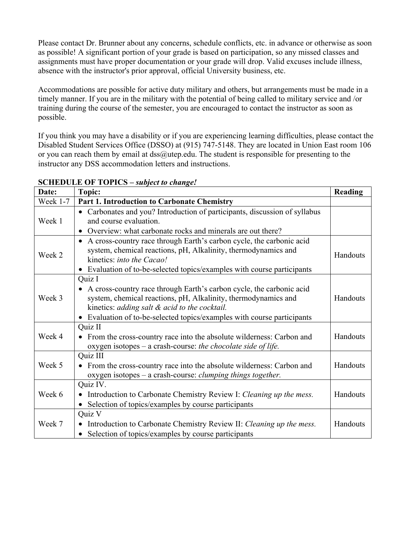Please contact Dr. Brunner about any concerns, schedule conflicts, etc. in advance or otherwise as soon as possible! A significant portion of your grade is based on participation, so any missed classes and assignments must have proper documentation or your grade will drop. Valid excuses include illness, absence with the instructor's prior approval, official University business, etc.

Accommodations are possible for active duty military and others, but arrangements must be made in a timely manner. If you are in the military with the potential of being called to military service and /or training during the course of the semester, you are encouraged to contact the instructor as soon as possible.

If you think you may have a disability or if you are experiencing learning difficulties, please contact the Disabled Student Services Office (DSSO) at (915) 747-5148. They are located in Union East room 106 or you can reach them by email at dss@utep.edu. The student is responsible for presenting to the instructor any DSS accommodation letters and instructions.

| Date:           | Topic:                                                                            | Reading  |
|-----------------|-----------------------------------------------------------------------------------|----------|
| <b>Week 1-7</b> | <b>Part 1. Introduction to Carbonate Chemistry</b>                                |          |
| Week 1          | • Carbonates and you? Introduction of participants, discussion of syllabus        |          |
|                 | and course evaluation.                                                            |          |
|                 | • Overview: what carbonate rocks and minerals are out there?                      |          |
| Week 2          | • A cross-country race through Earth's carbon cycle, the carbonic acid            |          |
|                 | system, chemical reactions, pH, Alkalinity, thermodynamics and                    | Handouts |
|                 | kinetics: <i>into the Cacao!</i>                                                  |          |
|                 | • Evaluation of to-be-selected topics/examples with course participants           |          |
| Week 3          | Quiz I                                                                            |          |
|                 | • A cross-country race through Earth's carbon cycle, the carbonic acid            |          |
|                 | system, chemical reactions, pH, Alkalinity, thermodynamics and                    | Handouts |
|                 | kinetics: adding salt & acid to the cocktail.                                     |          |
|                 | • Evaluation of to-be-selected topics/examples with course participants           |          |
| Week 4          | Quiz II                                                                           |          |
|                 | From the cross-country race into the absolute wilderness: Carbon and<br>$\bullet$ | Handouts |
|                 | oxygen isotopes – a crash-course: the chocolate side of life.                     |          |
| Week 5          | Quiz III                                                                          |          |
|                 | • From the cross-country race into the absolute wilderness: Carbon and            | Handouts |
|                 | oxygen isotopes – a crash-course: <i>clumping things together</i> .               |          |
| Week 6          | Quiz IV.                                                                          |          |
|                 | • Introduction to Carbonate Chemistry Review I: Cleaning up the mess.             | Handouts |
|                 | • Selection of topics/examples by course participants                             |          |
| Week 7          | Quiz V                                                                            |          |
|                 | Introduction to Carbonate Chemistry Review II: Cleaning up the mess.<br>$\bullet$ | Handouts |
|                 | • Selection of topics/examples by course participants                             |          |

#### **SCHEDULE OF TOPICS –** *subject to change!*